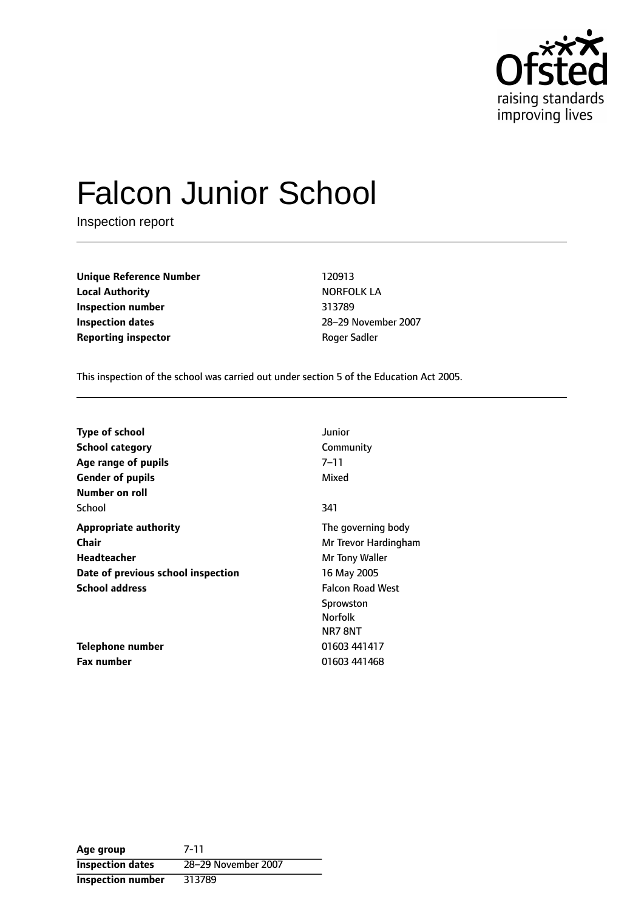

# Falcon Junior School

Inspection report

**Unique Reference Number** 120913 **Local Authority NORFOLK LA Inspection number** 313789 **Inspection dates** 28-29 November 2007 **Reporting inspector CONFIDENTIAL ROGER Sadder** Roger Sadler

This inspection of the school was carried out under section 5 of the Education Act 2005.

| <b>Type of school</b>              | Junior                  |
|------------------------------------|-------------------------|
| <b>School category</b>             | Community               |
| Age range of pupils                | $7 - 11$                |
| <b>Gender of pupils</b>            | Mixed                   |
| Number on roll                     |                         |
| School                             | 341                     |
| <b>Appropriate authority</b>       | The governing body      |
| <b>Chair</b>                       | Mr Trevor Hardingham    |
| Headteacher                        | Mr Tony Waller          |
| Date of previous school inspection | 16 May 2005             |
| <b>School address</b>              | <b>Falcon Road West</b> |
|                                    | Sprowston               |
|                                    | <b>Norfolk</b>          |
|                                    | NR78NT                  |
| Telephone number                   | 01603 441417            |
| Fax number                         | 01603 441468            |

**Age group** 7-11 **Inspection dates** 28-29 November 2007 **Inspection number** 313789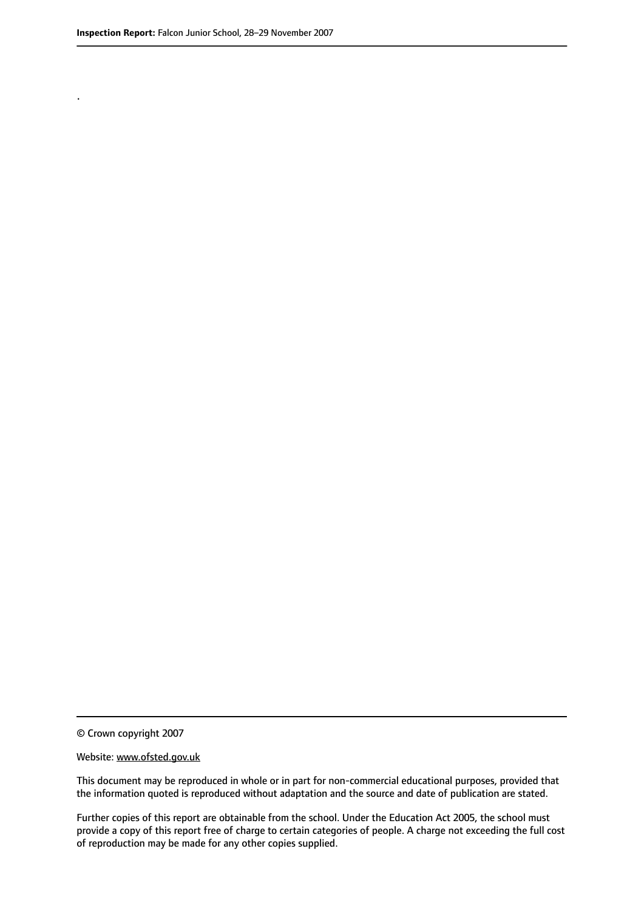.

© Crown copyright 2007

#### Website: www.ofsted.gov.uk

This document may be reproduced in whole or in part for non-commercial educational purposes, provided that the information quoted is reproduced without adaptation and the source and date of publication are stated.

Further copies of this report are obtainable from the school. Under the Education Act 2005, the school must provide a copy of this report free of charge to certain categories of people. A charge not exceeding the full cost of reproduction may be made for any other copies supplied.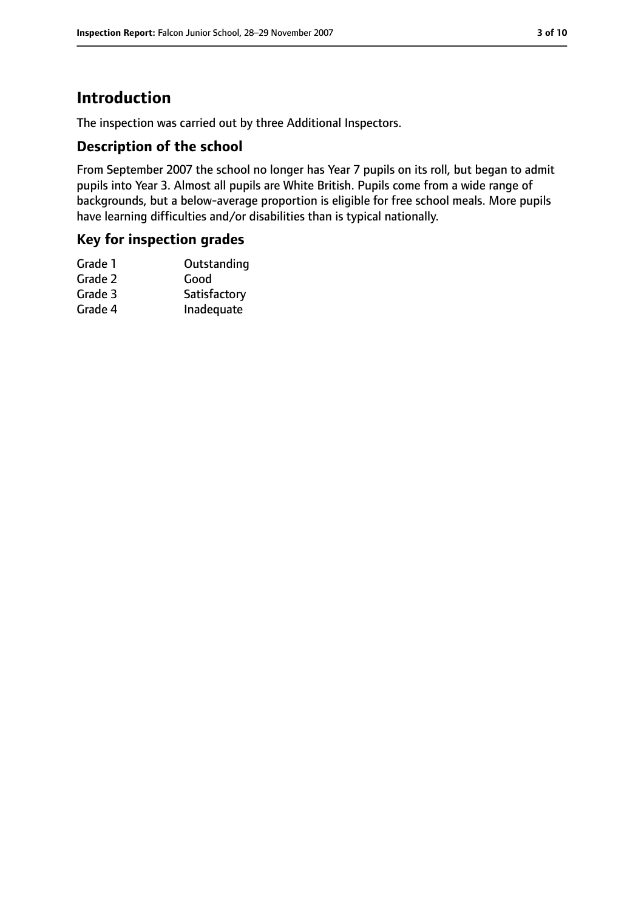## **Introduction**

The inspection was carried out by three Additional Inspectors.

#### **Description of the school**

From September 2007 the school no longer has Year 7 pupils on its roll, but began to admit pupils into Year 3. Almost all pupils are White British. Pupils come from a wide range of backgrounds, but a below-average proportion is eligible for free school meals. More pupils have learning difficulties and/or disabilities than is typical nationally.

#### **Key for inspection grades**

| Satisfactory |
|--------------|
| Inadequate   |
|              |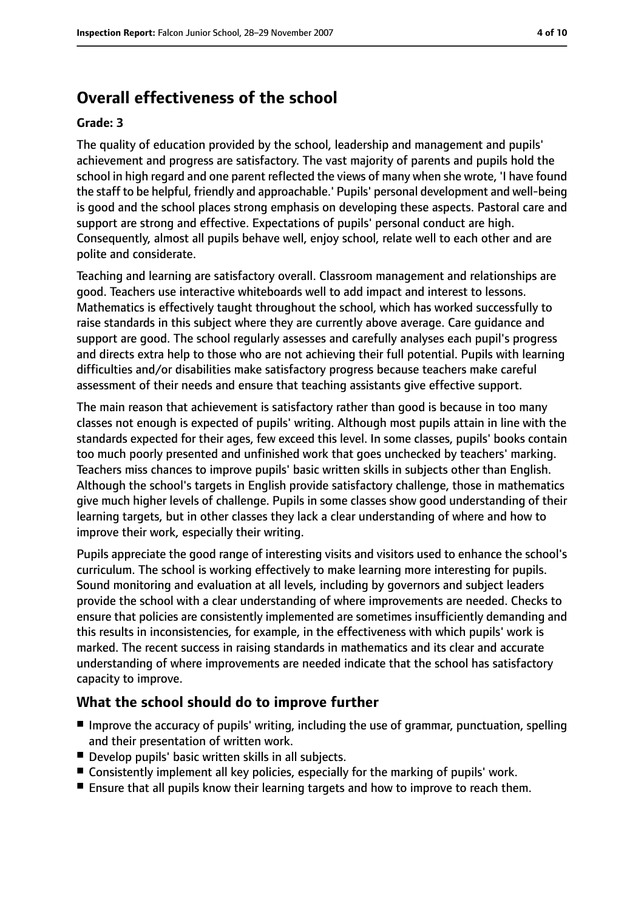# **Overall effectiveness of the school**

#### **Grade: 3**

The quality of education provided by the school, leadership and management and pupils' achievement and progress are satisfactory. The vast majority of parents and pupils hold the school in high regard and one parent reflected the views of many when she wrote, 'I have found the staff to be helpful, friendly and approachable.' Pupils' personal development and well-being is good and the school places strong emphasis on developing these aspects. Pastoral care and support are strong and effective. Expectations of pupils' personal conduct are high. Consequently, almost all pupils behave well, enjoy school, relate well to each other and are polite and considerate.

Teaching and learning are satisfactory overall. Classroom management and relationships are good. Teachers use interactive whiteboards well to add impact and interest to lessons. Mathematics is effectively taught throughout the school, which has worked successfully to raise standards in this subject where they are currently above average. Care guidance and support are good. The school regularly assesses and carefully analyses each pupil's progress and directs extra help to those who are not achieving their full potential. Pupils with learning difficulties and/or disabilities make satisfactory progress because teachers make careful assessment of their needs and ensure that teaching assistants give effective support.

The main reason that achievement is satisfactory rather than good is because in too many classes not enough is expected of pupils' writing. Although most pupils attain in line with the standards expected for their ages, few exceed this level. In some classes, pupils' books contain too much poorly presented and unfinished work that goes unchecked by teachers' marking. Teachers miss chances to improve pupils' basic written skills in subjects other than English. Although the school's targets in English provide satisfactory challenge, those in mathematics give much higher levels of challenge. Pupils in some classes show good understanding of their learning targets, but in other classes they lack a clear understanding of where and how to improve their work, especially their writing.

Pupils appreciate the good range of interesting visits and visitors used to enhance the school's curriculum. The school is working effectively to make learning more interesting for pupils. Sound monitoring and evaluation at all levels, including by governors and subject leaders provide the school with a clear understanding of where improvements are needed. Checks to ensure that policies are consistently implemented are sometimes insufficiently demanding and this results in inconsistencies, for example, in the effectiveness with which pupils' work is marked. The recent success in raising standards in mathematics and its clear and accurate understanding of where improvements are needed indicate that the school has satisfactory capacity to improve.

#### **What the school should do to improve further**

- Improve the accuracy of pupils' writing, including the use of grammar, punctuation, spelling and their presentation of written work.
- Develop pupils' basic written skills in all subjects.
- Consistently implement all key policies, especially for the marking of pupils' work.
- Ensure that all pupils know their learning targets and how to improve to reach them.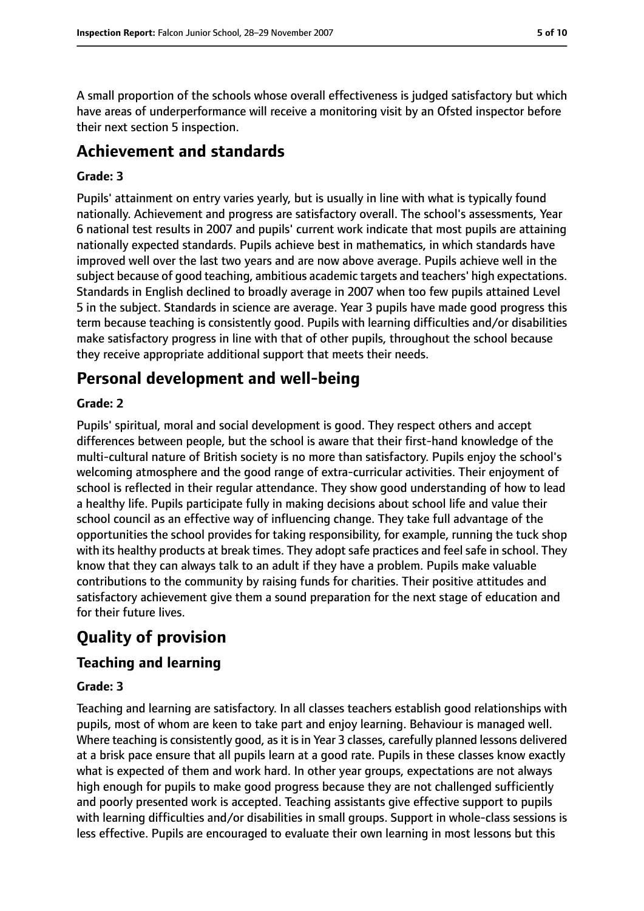A small proportion of the schools whose overall effectiveness is judged satisfactory but which have areas of underperformance will receive a monitoring visit by an Ofsted inspector before their next section 5 inspection.

## **Achievement and standards**

#### **Grade: 3**

Pupils' attainment on entry varies yearly, but is usually in line with what is typically found nationally. Achievement and progress are satisfactory overall. The school's assessments, Year 6 national test results in 2007 and pupils' current work indicate that most pupils are attaining nationally expected standards. Pupils achieve best in mathematics, in which standards have improved well over the last two years and are now above average. Pupils achieve well in the subject because of good teaching, ambitious academic targets and teachers' high expectations. Standards in English declined to broadly average in 2007 when too few pupils attained Level 5 in the subject. Standards in science are average. Year 3 pupils have made good progress this term because teaching is consistently good. Pupils with learning difficulties and/or disabilities make satisfactory progress in line with that of other pupils, throughout the school because they receive appropriate additional support that meets their needs.

## **Personal development and well-being**

#### **Grade: 2**

Pupils' spiritual, moral and social development is good. They respect others and accept differences between people, but the school is aware that their first-hand knowledge of the multi-cultural nature of British society is no more than satisfactory. Pupils enjoy the school's welcoming atmosphere and the good range of extra-curricular activities. Their enjoyment of school is reflected in their regular attendance. They show good understanding of how to lead a healthy life. Pupils participate fully in making decisions about school life and value their school council as an effective way of influencing change. They take full advantage of the opportunities the school provides for taking responsibility, for example, running the tuck shop with its healthy products at break times. They adopt safe practices and feel safe in school. They know that they can always talk to an adult if they have a problem. Pupils make valuable contributions to the community by raising funds for charities. Their positive attitudes and satisfactory achievement give them a sound preparation for the next stage of education and for their future lives.

# **Quality of provision**

## **Teaching and learning**

#### **Grade: 3**

Teaching and learning are satisfactory. In all classes teachers establish good relationships with pupils, most of whom are keen to take part and enjoy learning. Behaviour is managed well. Where teaching is consistently good, as it is in Year 3 classes, carefully planned lessons delivered at a brisk pace ensure that all pupils learn at a good rate. Pupils in these classes know exactly what is expected of them and work hard. In other year groups, expectations are not always high enough for pupils to make good progress because they are not challenged sufficiently and poorly presented work is accepted. Teaching assistants give effective support to pupils with learning difficulties and/or disabilities in small groups. Support in whole-class sessions is less effective. Pupils are encouraged to evaluate their own learning in most lessons but this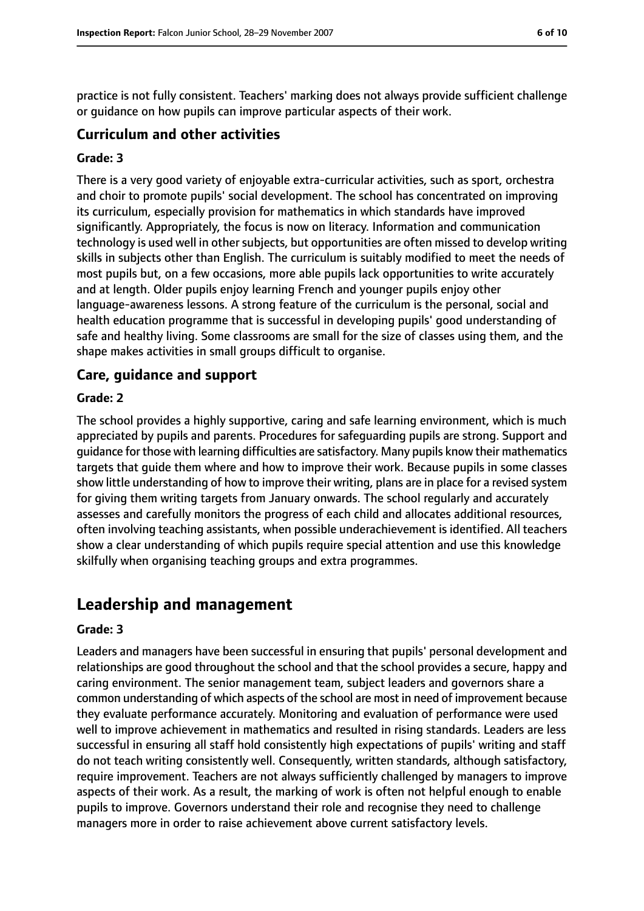practice is not fully consistent. Teachers' marking does not always provide sufficient challenge or guidance on how pupils can improve particular aspects of their work.

#### **Curriculum and other activities**

#### **Grade: 3**

There is a very good variety of enjoyable extra-curricular activities, such as sport, orchestra and choir to promote pupils' social development. The school has concentrated on improving its curriculum, especially provision for mathematics in which standards have improved significantly. Appropriately, the focus is now on literacy. Information and communication technology is used well in other subjects, but opportunities are often missed to develop writing skills in subjects other than English. The curriculum is suitably modified to meet the needs of most pupils but, on a few occasions, more able pupils lack opportunities to write accurately and at length. Older pupils enjoy learning French and younger pupils enjoy other language-awareness lessons. A strong feature of the curriculum is the personal, social and health education programme that is successful in developing pupils' good understanding of safe and healthy living. Some classrooms are small for the size of classes using them, and the shape makes activities in small groups difficult to organise.

#### **Care, guidance and support**

#### **Grade: 2**

The school provides a highly supportive, caring and safe learning environment, which is much appreciated by pupils and parents. Procedures for safeguarding pupils are strong. Support and guidance for those with learning difficulties are satisfactory. Many pupils know their mathematics targets that guide them where and how to improve their work. Because pupils in some classes show little understanding of how to improve their writing, plans are in place for a revised system for giving them writing targets from January onwards. The school regularly and accurately assesses and carefully monitors the progress of each child and allocates additional resources, often involving teaching assistants, when possible underachievement is identified. All teachers show a clear understanding of which pupils require special attention and use this knowledge skilfully when organising teaching groups and extra programmes.

## **Leadership and management**

#### **Grade: 3**

Leaders and managers have been successful in ensuring that pupils' personal development and relationships are good throughout the school and that the school provides a secure, happy and caring environment. The senior management team, subject leaders and governors share a common understanding of which aspects of the school are most in need of improvement because they evaluate performance accurately. Monitoring and evaluation of performance were used well to improve achievement in mathematics and resulted in rising standards. Leaders are less successful in ensuring all staff hold consistently high expectations of pupils' writing and staff do not teach writing consistently well. Consequently, written standards, although satisfactory, require improvement. Teachers are not always sufficiently challenged by managers to improve aspects of their work. As a result, the marking of work is often not helpful enough to enable pupils to improve. Governors understand their role and recognise they need to challenge managers more in order to raise achievement above current satisfactory levels.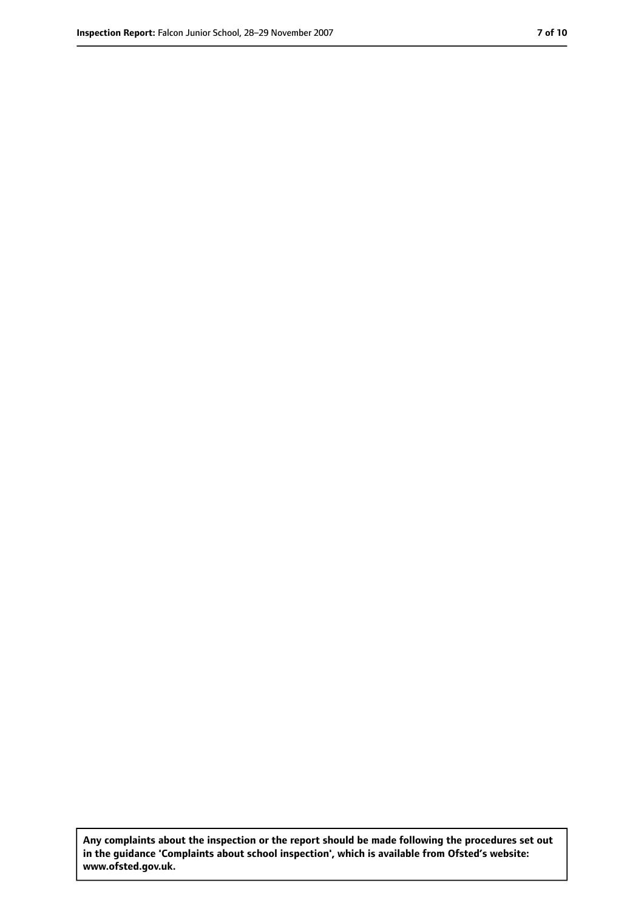**Any complaints about the inspection or the report should be made following the procedures set out in the guidance 'Complaints about school inspection', which is available from Ofsted's website: www.ofsted.gov.uk.**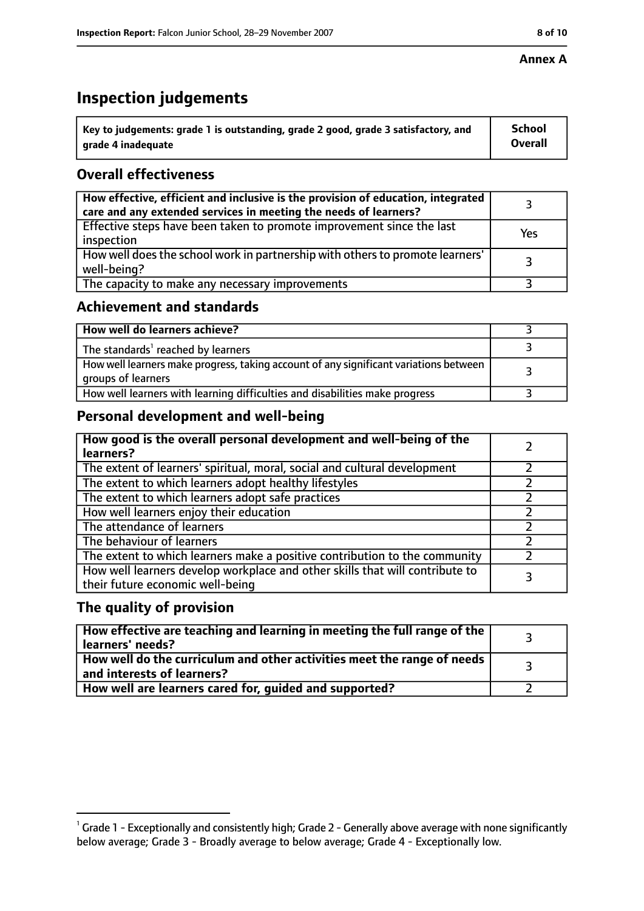#### **Annex A**

## **Inspection judgements**

| $^{\backprime}$ Key to judgements: grade 1 is outstanding, grade 2 good, grade 3 satisfactory, and | School         |
|----------------------------------------------------------------------------------------------------|----------------|
| arade 4 inadeguate                                                                                 | <b>Overall</b> |

## **Overall effectiveness**

| How effective, efficient and inclusive is the provision of education, integrated<br>care and any extended services in meeting the needs of learners? |     |
|------------------------------------------------------------------------------------------------------------------------------------------------------|-----|
| Effective steps have been taken to promote improvement since the last<br>inspection                                                                  | Yes |
| How well does the school work in partnership with others to promote learners'<br>well-being?                                                         |     |
| The capacity to make any necessary improvements                                                                                                      |     |

## **Achievement and standards**

| How well do learners achieve?                                                                               |  |
|-------------------------------------------------------------------------------------------------------------|--|
| The standards <sup>1</sup> reached by learners                                                              |  |
| How well learners make progress, taking account of any significant variations between<br>groups of learners |  |
| How well learners with learning difficulties and disabilities make progress                                 |  |

## **Personal development and well-being**

| How good is the overall personal development and well-being of the<br>learners?                                  |  |
|------------------------------------------------------------------------------------------------------------------|--|
| The extent of learners' spiritual, moral, social and cultural development                                        |  |
| The extent to which learners adopt healthy lifestyles                                                            |  |
| The extent to which learners adopt safe practices                                                                |  |
| How well learners enjoy their education                                                                          |  |
| The attendance of learners                                                                                       |  |
| The behaviour of learners                                                                                        |  |
| The extent to which learners make a positive contribution to the community                                       |  |
| How well learners develop workplace and other skills that will contribute to<br>their future economic well-being |  |

#### **The quality of provision**

| $\mid$ How effective are teaching and learning in meeting the full range of the $\mid$<br>learners' needs? |  |
|------------------------------------------------------------------------------------------------------------|--|
| How well do the curriculum and other activities meet the range of needs  <br>and interests of learners?    |  |
| How well are learners cared for, guided and supported?                                                     |  |

 $^1$  Grade 1 - Exceptionally and consistently high; Grade 2 - Generally above average with none significantly below average; Grade 3 - Broadly average to below average; Grade 4 - Exceptionally low.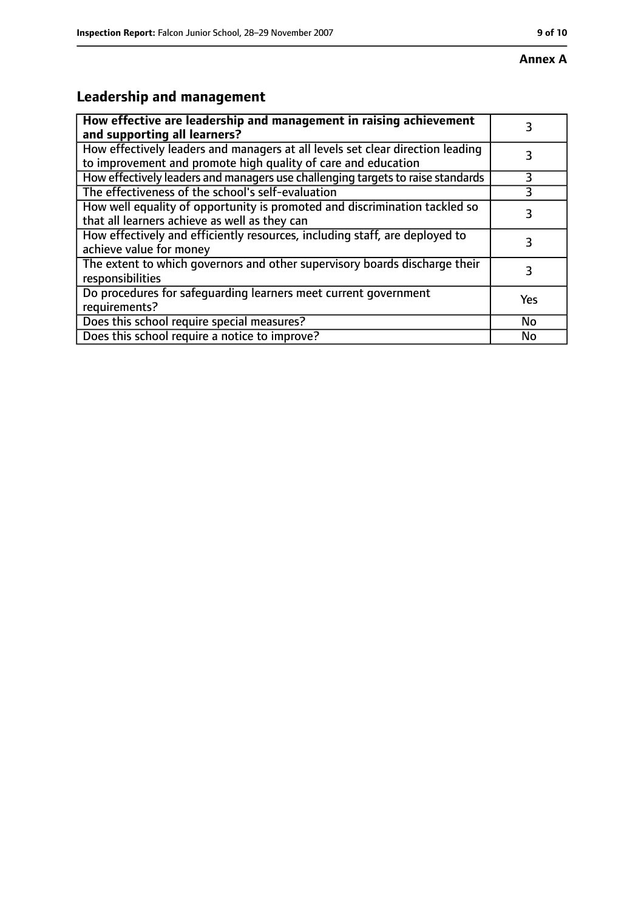# **Leadership and management**

| How effective are leadership and management in raising achievement<br>and supporting all learners?                                              |     |
|-------------------------------------------------------------------------------------------------------------------------------------------------|-----|
| How effectively leaders and managers at all levels set clear direction leading<br>to improvement and promote high quality of care and education |     |
| How effectively leaders and managers use challenging targets to raise standards                                                                 | 3   |
| The effectiveness of the school's self-evaluation                                                                                               | 3   |
| How well equality of opportunity is promoted and discrimination tackled so<br>that all learners achieve as well as they can                     |     |
| How effectively and efficiently resources, including staff, are deployed to<br>achieve value for money                                          | 3   |
| The extent to which governors and other supervisory boards discharge their<br>responsibilities                                                  | 3   |
| Do procedures for safequarding learners meet current government<br>requirements?                                                                | Yes |
| Does this school require special measures?                                                                                                      | No  |
| Does this school require a notice to improve?                                                                                                   | No  |